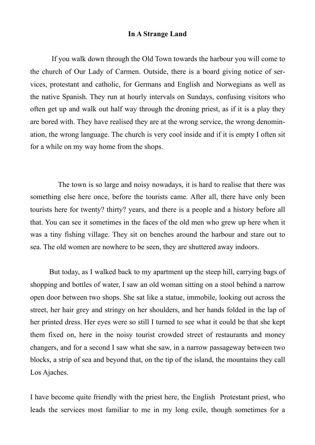## **In A Strange Land**

 If you walk down through the Old Town towards the harbour you will come to the church of Our Lady of Carmen. Outside, there is a board giving notice of services, protestant and catholic, for Germans and English and Norwegians as well as the native Spanish. They run at hourly intervals on Sundays, confusing visitors who often get up and walk out half way through the droning priest, as if it is a play they are bored with. They have realised they are at the wrong service, the wrong denomination, the wrong language. The church is very cool inside and if it is empty I often sit for a while on my way home from the shops.

 The town is so large and noisy nowadays, it is hard to realise that there was something else here once, before the tourists came. After all, there have only been tourists here for twenty? thirty? years, and there is a people and a history before all that. You can see it sometimes in the faces of the old men who grew up here when it was a tiny fishing village. They sit on benches around the harbour and stare out to sea. The old women are nowhere to be seen, they are shuttered away indoors.

 But today, as I walked back to my apartment up the steep hill, carrying bags of shopping and bottles of water, I saw an old woman sitting on a stool behind a narrow open door between two shops. She sat like a statue, immobile, looking out across the street, her hair grey and stringy on her shoulders, and her hands folded in the lap of her printed dress. Her eyes were so still I turned to see what it could be that she kept them fixed on, here in the noisy tourist crowded street of restaurants and money changers, and for a second I saw what she saw, in a narrow passageway between two blocks, a strip of sea and beyond that, on the tip of the island, the mountains they call Los Ajaches.

I have become quite friendly with the priest here, the English Protestant priest, who leads the services most familiar to me in my long exile, though sometimes for a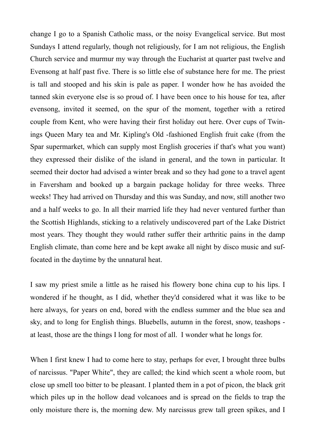change I go to a Spanish Catholic mass, or the noisy Evangelical service. But most Sundays I attend regularly, though not religiously, for I am not religious, the English Church service and murmur my way through the Eucharist at quarter past twelve and Evensong at half past five. There is so little else of substance here for me. The priest is tall and stooped and his skin is pale as paper. I wonder how he has avoided the tanned skin everyone else is so proud of. I have been once to his house for tea, after evensong, invited it seemed, on the spur of the moment, together with a retired couple from Kent, who were having their first holiday out here. Over cups of Twinings Queen Mary tea and Mr. Kipling's Old -fashioned English fruit cake (from the Spar supermarket, which can supply most English groceries if that's what you want) they expressed their dislike of the island in general, and the town in particular. It seemed their doctor had advised a winter break and so they had gone to a travel agent in Faversham and booked up a bargain package holiday for three weeks. Three weeks! They had arrived on Thursday and this was Sunday, and now, still another two and a half weeks to go. In all their married life they had never ventured further than the Scottish Highlands, sticking to a relatively undiscovered part of the Lake District most years. They thought they would rather suffer their arthritic pains in the damp English climate, than come here and be kept awake all night by disco music and suffocated in the daytime by the unnatural heat.

I saw my priest smile a little as he raised his flowery bone china cup to his lips. I wondered if he thought, as I did, whether they'd considered what it was like to be here always, for years on end, bored with the endless summer and the blue sea and sky, and to long for English things. Bluebells, autumn in the forest, snow, teashops at least, those are the things I long for most of all. I wonder what he longs for.

When I first knew I had to come here to stay, perhaps for ever, I brought three bulbs of narcissus. "Paper White", they are called; the kind which scent a whole room, but close up smell too bitter to be pleasant. I planted them in a pot of picon, the black grit which piles up in the hollow dead volcanoes and is spread on the fields to trap the only moisture there is, the morning dew. My narcissus grew tall green spikes, and I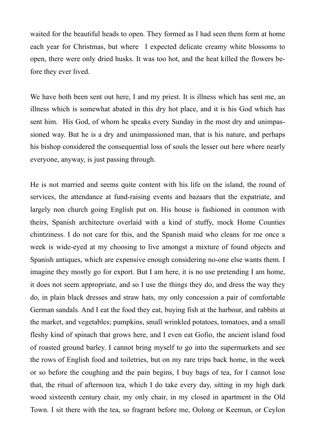waited for the beautiful heads to open. They formed as I had seen them form at home each year for Christmas, but where I expected delicate creamy white blossoms to open, there were only dried husks. It was too hot, and the heat killed the flowers before they ever lived.

We have both been sent out here, I and my priest. It is illness which has sent me, an illness which is somewhat abated in this dry hot place, and it is his God which has sent him. His God, of whom he speaks every Sunday in the most dry and unimpassioned way. But he is a dry and unimpassioned man, that is his nature, and perhaps his bishop considered the consequential loss of souls the lesser out here where nearly everyone, anyway, is just passing through.

He is not married and seems quite content with his life on the island, the round of services, the attendance at fund-raising events and bazaars that the expatriate, and largely non church going English put on. His house is fashioned in common with theirs, Spanish architecture overlaid with a kind of stuffy, mock Home Counties chintziness. I do not care for this, and the Spanish maid who cleans for me once a week is wide-eyed at my choosing to live amongst a mixture of found objects and Spanish antiques, which are expensive enough considering no-one else wants them. I imagine they mostly go for export. But I am here, it is no use pretending I am home, it does not seem appropriate, and so I use the things they do, and dress the way they do, in plain black dresses and straw hats, my only concession a pair of comfortable German sandals. And I eat the food they eat, buying fish at the harbour, and rabbits at the market, and vegetables; pumpkins, small wrinkled potatoes, tomatoes, and a small fleshy kind of spinach that grows here, and I even eat Gofio, the ancient island food of roasted ground barley. I cannot bring myself to go into the supermarkets and see the rows of English food and toiletries, but on my rare trips back home, in the week or so before the coughing and the pain begins, I buy bags of tea, for I cannot lose that, the ritual of afternoon tea, which I do take every day, sitting in my high dark wood sixteenth century chair, my only chair, in my closed in apartment in the Old Town. I sit there with the tea, so fragrant before me, Oolong or Keemun, or Ceylon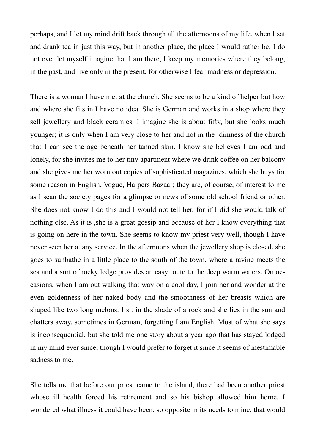perhaps, and I let my mind drift back through all the afternoons of my life, when I sat and drank tea in just this way, but in another place, the place I would rather be. I do not ever let myself imagine that I am there, I keep my memories where they belong, in the past, and live only in the present, for otherwise I fear madness or depression.

There is a woman I have met at the church. She seems to be a kind of helper but how and where she fits in I have no idea. She is German and works in a shop where they sell jewellery and black ceramics. I imagine she is about fifty, but she looks much younger; it is only when I am very close to her and not in the dimness of the church that I can see the age beneath her tanned skin. I know she believes I am odd and lonely, for she invites me to her tiny apartment where we drink coffee on her balcony and she gives me her worn out copies of sophisticated magazines, which she buys for some reason in English. Vogue, Harpers Bazaar; they are, of course, of interest to me as I scan the society pages for a glimpse or news of some old school friend or other. She does not know I do this and I would not tell her, for if I did she would talk of nothing else. As it is ,she is a great gossip and because of her I know everything that is going on here in the town. She seems to know my priest very well, though I have never seen her at any service. In the afternoons when the jewellery shop is closed, she goes to sunbathe in a little place to the south of the town, where a ravine meets the sea and a sort of rocky ledge provides an easy route to the deep warm waters. On occasions, when I am out walking that way on a cool day, I join her and wonder at the even goldenness of her naked body and the smoothness of her breasts which are shaped like two long melons. I sit in the shade of a rock and she lies in the sun and chatters away, sometimes in German, forgetting I am English. Most of what she says is inconsequential, but she told me one story about a year ago that has stayed lodged in my mind ever since, though I would prefer to forget it since it seems of inestimable sadness to me.

She tells me that before our priest came to the island, there had been another priest whose ill health forced his retirement and so his bishop allowed him home. I wondered what illness it could have been, so opposite in its needs to mine, that would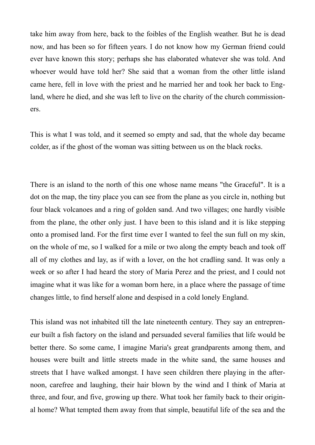take him away from here, back to the foibles of the English weather. But he is dead now, and has been so for fifteen years. I do not know how my German friend could ever have known this story; perhaps she has elaborated whatever she was told. And whoever would have told her? She said that a woman from the other little island came here, fell in love with the priest and he married her and took her back to England, where he died, and she was left to live on the charity of the church commissioners.

This is what I was told, and it seemed so empty and sad, that the whole day became colder, as if the ghost of the woman was sitting between us on the black rocks.

There is an island to the north of this one whose name means "the Graceful". It is a dot on the map, the tiny place you can see from the plane as you circle in, nothing but four black volcanoes and a ring of golden sand. And two villages; one hardly visible from the plane, the other only just. I have been to this island and it is like stepping onto a promised land. For the first time ever I wanted to feel the sun full on my skin, on the whole of me, so I walked for a mile or two along the empty beach and took off all of my clothes and lay, as if with a lover, on the hot cradling sand. It was only a week or so after I had heard the story of Maria Perez and the priest, and I could not imagine what it was like for a woman born here, in a place where the passage of time changes little, to find herself alone and despised in a cold lonely England.

This island was not inhabited till the late nineteenth century. They say an entrepreneur built a fish factory on the island and persuaded several families that life would be better there. So some came, I imagine Maria's great grandparents among them, and houses were built and little streets made in the white sand, the same houses and streets that I have walked amongst. I have seen children there playing in the afternoon, carefree and laughing, their hair blown by the wind and I think of Maria at three, and four, and five, growing up there. What took her family back to their original home? What tempted them away from that simple, beautiful life of the sea and the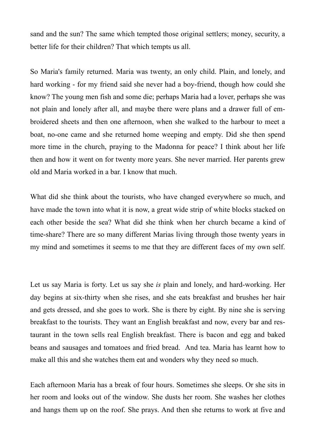sand and the sun? The same which tempted those original settlers; money, security, a better life for their children? That which tempts us all.

So Maria's family returned. Maria was twenty, an only child. Plain, and lonely, and hard working - for my friend said she never had a boy-friend, though how could she know? The young men fish and some die; perhaps Maria had a lover, perhaps she was not plain and lonely after all, and maybe there were plans and a drawer full of embroidered sheets and then one afternoon, when she walked to the harbour to meet a boat, no-one came and she returned home weeping and empty. Did she then spend more time in the church, praying to the Madonna for peace? I think about her life then and how it went on for twenty more years. She never married. Her parents grew old and Maria worked in a bar. I know that much.

What did she think about the tourists, who have changed everywhere so much, and have made the town into what it is now, a great wide strip of white blocks stacked on each other beside the sea? What did she think when her church became a kind of time-share? There are so many different Marias living through those twenty years in my mind and sometimes it seems to me that they are different faces of my own self.

Let us say Maria is forty. Let us say she *is* plain and lonely, and hard-working. Her day begins at six-thirty when she rises, and she eats breakfast and brushes her hair and gets dressed, and she goes to work. She is there by eight. By nine she is serving breakfast to the tourists. They want an English breakfast and now, every bar and restaurant in the town sells real English breakfast. There is bacon and egg and baked beans and sausages and tomatoes and fried bread. And tea. Maria has learnt how to make all this and she watches them eat and wonders why they need so much.

Each afternoon Maria has a break of four hours. Sometimes she sleeps. Or she sits in her room and looks out of the window. She dusts her room. She washes her clothes and hangs them up on the roof. She prays. And then she returns to work at five and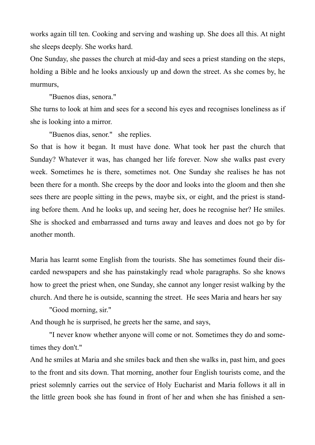works again till ten. Cooking and serving and washing up. She does all this. At night she sleeps deeply. She works hard.

One Sunday, she passes the church at mid-day and sees a priest standing on the steps, holding a Bible and he looks anxiously up and down the street. As she comes by, he murmurs,

"Buenos dias, senora."

She turns to look at him and sees for a second his eyes and recognises loneliness as if she is looking into a mirror.

"Buenos dias, senor." she replies.

So that is how it began. It must have done. What took her past the church that Sunday? Whatever it was, has changed her life forever. Now she walks past every week. Sometimes he is there, sometimes not. One Sunday she realises he has not been there for a month. She creeps by the door and looks into the gloom and then she sees there are people sitting in the pews, maybe six, or eight, and the priest is standing before them. And he looks up, and seeing her, does he recognise her? He smiles. She is shocked and embarrassed and turns away and leaves and does not go by for another month.

Maria has learnt some English from the tourists. She has sometimes found their discarded newspapers and she has painstakingly read whole paragraphs. So she knows how to greet the priest when, one Sunday, she cannot any longer resist walking by the church. And there he is outside, scanning the street. He sees Maria and hears her say

"Good morning, sir."

And though he is surprised, he greets her the same, and says,

 "I never know whether anyone will come or not. Sometimes they do and sometimes they don't."

And he smiles at Maria and she smiles back and then she walks in, past him, and goes to the front and sits down. That morning, another four English tourists come, and the priest solemnly carries out the service of Holy Eucharist and Maria follows it all in the little green book she has found in front of her and when she has finished a sen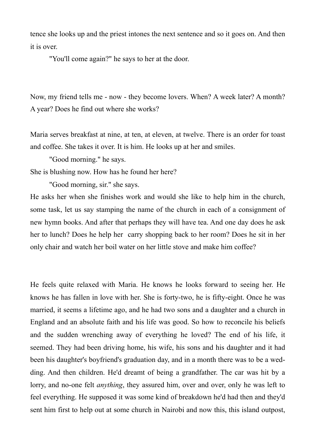tence she looks up and the priest intones the next sentence and so it goes on. And then it is over.

"You'll come again?" he says to her at the door.

Now, my friend tells me - now - they become lovers. When? A week later? A month? A year? Does he find out where she works?

Maria serves breakfast at nine, at ten, at eleven, at twelve. There is an order for toast and coffee. She takes it over. It is him. He looks up at her and smiles.

"Good morning." he says.

She is blushing now. How has he found her here?

"Good morning, sir." she says.

He asks her when she finishes work and would she like to help him in the church, some task, let us say stamping the name of the church in each of a consignment of new hymn books. And after that perhaps they will have tea. And one day does he ask her to lunch? Does he help her carry shopping back to her room? Does he sit in her only chair and watch her boil water on her little stove and make him coffee?

He feels quite relaxed with Maria. He knows he looks forward to seeing her. He knows he has fallen in love with her. She is forty-two, he is fifty-eight. Once he was married, it seems a lifetime ago, and he had two sons and a daughter and a church in England and an absolute faith and his life was good. So how to reconcile his beliefs and the sudden wrenching away of everything he loved? The end of his life, it seemed. They had been driving home, his wife, his sons and his daughter and it had been his daughter's boyfriend's graduation day, and in a month there was to be a wedding. And then children. He'd dreamt of being a grandfather. The car was hit by a lorry, and no-one felt *anything*, they assured him, over and over, only he was left to feel everything. He supposed it was some kind of breakdown he'd had then and they'd sent him first to help out at some church in Nairobi and now this, this island outpost,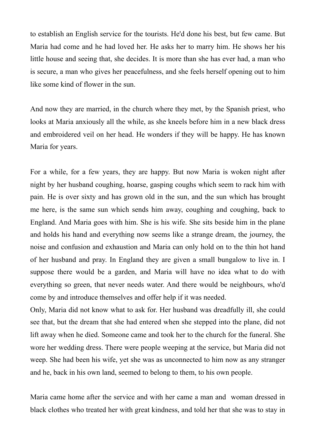to establish an English service for the tourists. He'd done his best, but few came. But Maria had come and he had loved her. He asks her to marry him. He shows her his little house and seeing that, she decides. It is more than she has ever had, a man who is secure, a man who gives her peacefulness, and she feels herself opening out to him like some kind of flower in the sun.

And now they are married, in the church where they met, by the Spanish priest, who looks at Maria anxiously all the while, as she kneels before him in a new black dress and embroidered veil on her head. He wonders if they will be happy. He has known Maria for years.

For a while, for a few years, they are happy. But now Maria is woken night after night by her husband coughing, hoarse, gasping coughs which seem to rack him with pain. He is over sixty and has grown old in the sun, and the sun which has brought me here, is the same sun which sends him away, coughing and coughing, back to England. And Maria goes with him. She is his wife. She sits beside him in the plane and holds his hand and everything now seems like a strange dream, the journey, the noise and confusion and exhaustion and Maria can only hold on to the thin hot hand of her husband and pray. In England they are given a small bungalow to live in. I suppose there would be a garden, and Maria will have no idea what to do with everything so green, that never needs water. And there would be neighbours, who'd come by and introduce themselves and offer help if it was needed.

Only, Maria did not know what to ask for. Her husband was dreadfully ill, she could see that, but the dream that she had entered when she stepped into the plane, did not lift away when he died. Someone came and took her to the church for the funeral. She wore her wedding dress. There were people weeping at the service, but Maria did not weep. She had been his wife, yet she was as unconnected to him now as any stranger and he, back in his own land, seemed to belong to them, to his own people.

Maria came home after the service and with her came a man and woman dressed in black clothes who treated her with great kindness, and told her that she was to stay in